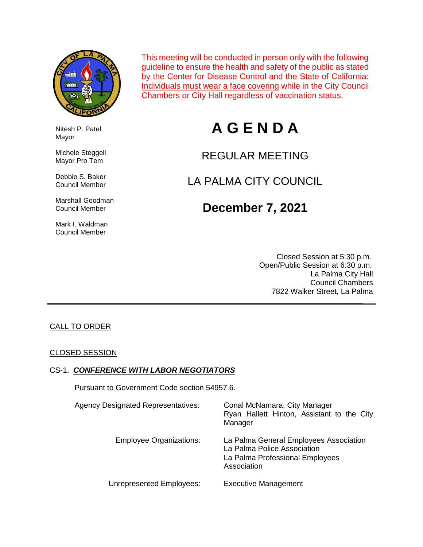

This meeting will be conducted in person only with the following guideline to ensure the health and safety of the public as stated by the Center for Disease Control and the State of California: Individuals must wear a face covering while in the City Council Chambers or City Hall regardless of vaccination status.

# **A G E N D A**

## REGULAR MEETING

## LA PALMA CITY COUNCIL

## **December 7, 2021**

 Closed Session at 5:30 p.m. Open/Public Session at 6:30 p.m. La Palma City Hall Council Chambers 7822 Walker Street, La Palma

#### CALL TO ORDER

#### CLOSED SESSION

#### CS-1. *CONFERENCE WITH LABOR NEGOTIATORS*

Pursuant to Government Code section 54957.6.

| <b>Agency Designated Representatives:</b> | Conal McNamara, City Manager<br>Ryan Hallett Hinton, Assistant to the City<br>Manager                                   |
|-------------------------------------------|-------------------------------------------------------------------------------------------------------------------------|
| <b>Employee Organizations:</b>            | La Palma General Employees Association<br>La Palma Police Association<br>La Palma Professional Employees<br>Association |
| Unrepresented Employees:                  | <b>Executive Management</b>                                                                                             |

 Nitesh P. Patel Mayor

 Michele Steggell Mayor Pro Tem

 Debbie S. Baker Council Member

 Marshall Goodman Council Member

 Mark I. Waldman Council Member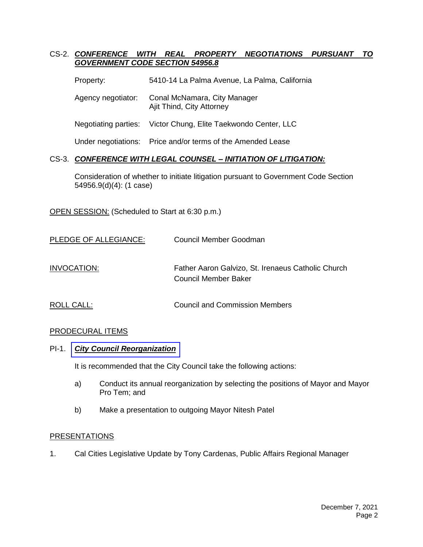#### CS-2. *CONFERENCE WITH REAL PROPERTY NEGOTIATIONS PURSUANT TO GOVERNMENT CODE SECTION 54956.8*

- Property: 5410-14 La Palma Avenue, La Palma, California
- Agency negotiator: Conal McNamara, City Manager Ajit Thind, City Attorney
- Negotiating parties: Victor Chung, Elite Taekwondo Center, LLC

Under negotiations: Price and/or terms of the Amended Lease

#### CS-3. *CONFERENCE WITH LEGAL COUNSEL – INITIATION OF LITIGATION:*

Consideration of whether to initiate litigation pursuant to Government Code Section 54956.9(d)(4): (1 case)

OPEN SESSION: (Scheduled to Start at 6:30 p.m.)

| PLEDGE OF ALLEGIANCE: | Council Member Goodman                                                     |
|-----------------------|----------------------------------------------------------------------------|
| INVOCATION:           | Father Aaron Galvizo, St. Irenaeus Catholic Church<br>Council Member Baker |
| ROLL CALL:            | Council and Commission Members                                             |

#### PRODECURAL ITEMS

#### PI-1. *[City Council Reorganization](https://www.cityoflapalma.org/DocumentCenter/View/11233/PI-1_City-Council-Reorg-2021)*

It is recommended that the City Council take the following actions:

- a) Conduct its annual reorganization by selecting the positions of Mayor and Mayor Pro Tem; and
- b) Make a presentation to outgoing Mayor Nitesh Patel

#### **PRESENTATIONS**

1. Cal Cities Legislative Update by Tony Cardenas, Public Affairs Regional Manager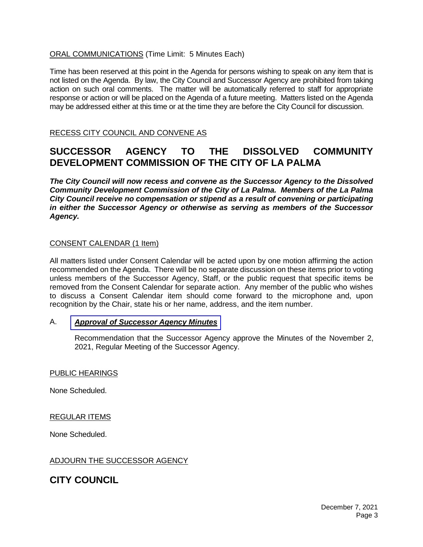#### ORAL COMMUNICATIONS (Time Limit: 5 Minutes Each)

Time has been reserved at this point in the Agenda for persons wishing to speak on any item that is not listed on the Agenda. By law, the City Council and Successor Agency are prohibited from taking action on such oral comments. The matter will be automatically referred to staff for appropriate response or action or will be placed on the Agenda of a future meeting. Matters listed on the Agenda may be addressed either at this time or at the time they are before the City Council for discussion.

RECESS CITY COUNCIL AND CONVENE AS

### **SUCCESSOR AGENCY TO THE DISSOLVED COMMUNITY DEVELOPMENT COMMISSION OF THE CITY OF LA PALMA**

*The City Council will now recess and convene as the Successor Agency to the Dissolved Community Development Commission of the City of La Palma. Members of the La Palma City Council receive no compensation or stipend as a result of convening or participating in either the Successor Agency or otherwise as serving as members of the Successor Agency.*

#### CONSENT CALENDAR (1 Item)

All matters listed under Consent Calendar will be acted upon by one motion affirming the action recommended on the Agenda. There will be no separate discussion on these items prior to voting unless members of the Successor Agency, Staff, or the public request that specific items be removed from the Consent Calendar for separate action. Any member of the public who wishes to discuss a Consent Calendar item should come forward to the microphone and, upon recognition by the Chair, state his or her name, address, and the item number.

#### A. *Approval of [Successor](https://www.cityoflapalma.org/DocumentCenter/View/11231/Item-A_SA-Minutes) Agency Minutes*

Recommendation that the Successor Agency approve the Minutes of the November 2, 2021, Regular Meeting of the Successor Agency.

#### PUBLIC HEARINGS

None Scheduled.

#### REGULAR ITEMS

None Scheduled.

#### ADJOURN THE SUCCESSOR AGENCY

#### **CITY COUNCIL**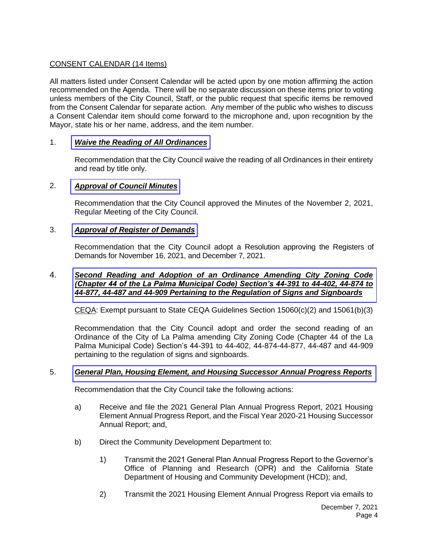#### CONSENT CALENDAR (14 Items)

All matters listed under Consent Calendar will be acted upon by one motion affirming the action recommended on the Agenda. There will be no separate discussion on these items prior to voting unless members of the City Council, Staff, or the public request that specific items be removed from the Consent Calendar for separate action. Any member of the public who wishes to discuss a Consent Calendar item should come forward to the microphone and, upon recognition by the Mayor, state his or her name, address, and the item number.

#### 1. *[Waive the Reading of All Ordinances](https://www.cityoflapalma.org/DocumentCenter/View/11234/Item-1_Read-Ordinances-by-Title)*

Recommendation that the City Council waive the reading of all Ordinances in their entirety and read by title only.

#### 2. *[Approval of Council Minutes](https://www.cityoflapalma.org/DocumentCenter/View/11235/Item-2_CC-Minutes)*

Recommendation that the City Council approved the Minutes of the November 2, 2021, Regular Meeting of the City Council.

#### 3. *[Approval of Register of Demands](https://www.cityoflapalma.org/DocumentCenter/View/11236/Item-3_CC-Warrants)*

Recommendation that the City Council adopt a Resolution approving the Registers of Demands for November 16, 2021, and December 7, 2021.

#### 4. *Second Reading and Adoption of an Ordinance Amending City Zoning Code [\(Chapter 44 of the La Palma Municipal Code\) Section's 44-391 to 44-402, 44-874 to](https://www.cityoflapalma.org/DocumentCenter/View/11237/Item-4_Adoption-of-Sign-Ordinance)  44-877, 44-487 and 44-909 Pertaining to the Regulation of Signs and Signboards*

 $CEQA$ : Exempt pursuant to State CEQA Guidelines Section 15060(c)(2) and 15061(b)(3)

Recommendation that the City Council adopt and order the second reading of an Ordinance of the City of La Palma amending City Zoning Code (Chapter 44 of the La Palma Municipal Code) Section's 44-391 to 44-402, 44-874-44-877, 44-487 and 44-909 pertaining to the regulation of signs and signboards.

#### 5. *[General Plan, Housing Element, and Housing Successor Annual Progress Reports](https://www.cityoflapalma.org/DocumentCenter/View/11238/Item-5_Annual-Progress-Reports-2021)*

Recommendation that the City Council take the following actions:

- a) Receive and file the 2021 General Plan Annual Progress Report, 2021 Housing Element Annual Progress Report, and the Fiscal Year 2020-21 Housing Successor Annual Report; and,
- b) Direct the Community Development Department to:
	- 1) Transmit the 2021 General Plan Annual Progress Report to the Governor's Office of Planning and Research (OPR) and the California State Department of Housing and Community Development (HCD); and,
	- 2) Transmit the 2021 Housing Element Annual Progress Report via emails to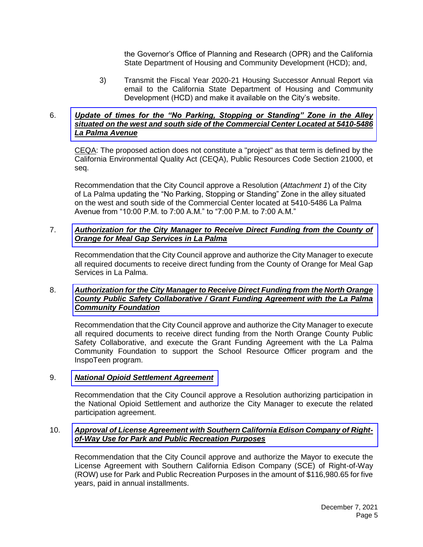the Governor's Office of Planning and Research (OPR) and the California State Department of Housing and Community Development (HCD); and,

3) Transmit the Fiscal Year 2020-21 Housing Successor Annual Report via email to the California State Department of Housing and Community Development (HCD) and make it available on the City's website.

#### 6. *Update of times for the "No Parking, Stopping or Standing" Zone in the Alley [situated on the west and south side of the Commercial Center Located at 5410-5486](https://www.cityoflapalma.org/DocumentCenter/View/11239/Item-6_Walmart-Alley-Resolution)  La Palma Avenue*

CEQA: The proposed action does not constitute a "project" as that term is defined by the California Environmental Quality Act (CEQA), Public Resources Code Section 21000, et seq.

Recommendation that the City Council approve a Resolution (*Attachment 1*) of the City of La Palma updating the "No Parking, Stopping or Standing" Zone in the alley situated on the west and south side of the Commercial Center located at 5410-5486 La Palma Avenue from "10:00 P.M. to 7:00 A.M." to "7:00 P.M. to 7:00 A.M."

#### 7. *[Authorization for the City Manager to Receive Direct Funding from the County of](https://www.cityoflapalma.org/DocumentCenter/View/11224/Item-7_OC-Meal-Gap-Grant-Funding-Agreement)  Orange for Meal Gap Services in La Palma*

Recommendation that the City Council approve and authorize the City Manager to execute all required documents to receive direct funding from the County of Orange for Meal Gap Services in La Palma.

#### 8. *[Authorization for the City Manager to Receive Direct Funding from the North Orange](https://www.cityoflapalma.org/DocumentCenter/View/11225/Item-8_LPCF-Grant-Funding-Agreement)  County Public Safety Collaborative / Grant Funding Agreement with the La Palma Community Foundation*

Recommendation that the City Council approve and authorize the City Manager to execute all required documents to receive direct funding from the North Orange County Public Safety Collaborative, and execute the Grant Funding Agreement with the La Palma Community Foundation to support the School Resource Officer program and the InspoTeen program.

#### 9. *[National Opioid Settlement Agreement](https://www.cityoflapalma.org/DocumentCenter/View/11226/Item-9_Opioid-Settlement-Resolution)*

Recommendation that the City Council approve a Resolution authorizing participation in the National Opioid Settlement and authorize the City Manager to execute the related participation agreement.

#### 10. *[Approval of License Agreement with Southern California Edison Company of Right](https://www.cityoflapalma.org/DocumentCenter/View/11227/Item-10_SCE-Right-of-Way-Lease)of-Way Use for Park and Public Recreation Purposes*

Recommendation that the City Council approve and authorize the Mayor to execute the License Agreement with Southern California Edison Company (SCE) of Right-of-Way (ROW) use for Park and Public Recreation Purposes in the amount of \$116,980.65 for five years, paid in annual installments.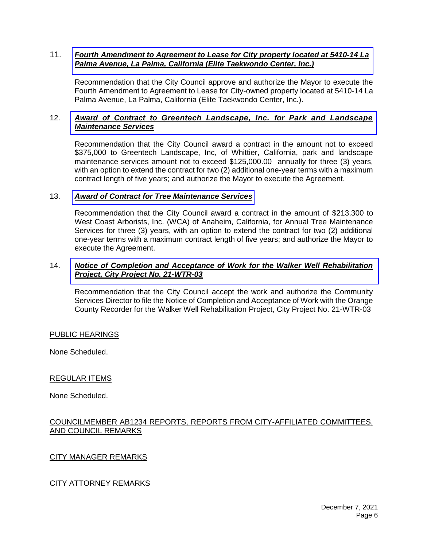#### 11. *[Fourth Amendment to Agreement to Lease for City property located at 5410-14 La](https://www.cityoflapalma.org/DocumentCenter/View/11232/Item11_Taekwondo-Rent)  Palma Avenue, La Palma, California (Elite Taekwondo Center, Inc.)*

Recommendation that the City Council approve and authorize the Mayor to execute the Fourth Amendment to Agreement to Lease for City-owned property located at 5410-14 La Palma Avenue, La Palma, California (Elite Taekwondo Center, Inc.).

#### 12. *Award of Contract to [Greentech Landscape, Inc.](https://www.cityoflapalma.org/DocumentCenter/View/11228/Item-12_AOC-Landscape-Maintenance) for Park and Landscape Maintenance Services*

Recommendation that the City Council award a contract in the amount not to exceed \$375,000 to Greentech Landscape, Inc, of Whittier, California, park and landscape maintenance services amount not to exceed \$125,000.00 annually for three (3) years, with an option to extend the contract for two (2) additional one-year terms with a maximum contract length of five years; and authorize the Mayor to execute the Agreement.

#### 13. *[Award of Contract for Tree Maintenance Services](https://www.cityoflapalma.org/DocumentCenter/View/11229/Item-13_Tree-Maintenance-Services-AOC)*

Recommendation that the City Council award a contract in the amount of \$213,300 to West Coast Arborists, Inc. (WCA) of Anaheim, California, for Annual Tree Maintenance Services for three (3) years, with an option to extend the contract for two (2) additional one-year terms with a maximum contract length of five years; and authorize the Mayor to execute the Agreement.

#### 14. *[Notice of Completion and Acceptance of Work for the Walker Well Rehabilitation](https://www.cityoflapalma.org/DocumentCenter/View/11230/Item-14_NOC-Walker-Rehab)  Project, City Project No. 21-WTR-03*

Recommendation that the City Council accept the work and authorize the Community Services Director to file the Notice of Completion and Acceptance of Work with the Orange County Recorder for the Walker Well Rehabilitation Project, City Project No. 21-WTR-03

#### PUBLIC HEARINGS

None Scheduled.

#### REGULAR ITEMS

None Scheduled.

#### COUNCILMEMBER AB1234 REPORTS, REPORTS FROM CITY-AFFILIATED COMMITTEES, AND COUNCIL REMARKS

#### CITY MANAGER REMARKS

#### CITY ATTORNEY REMARKS